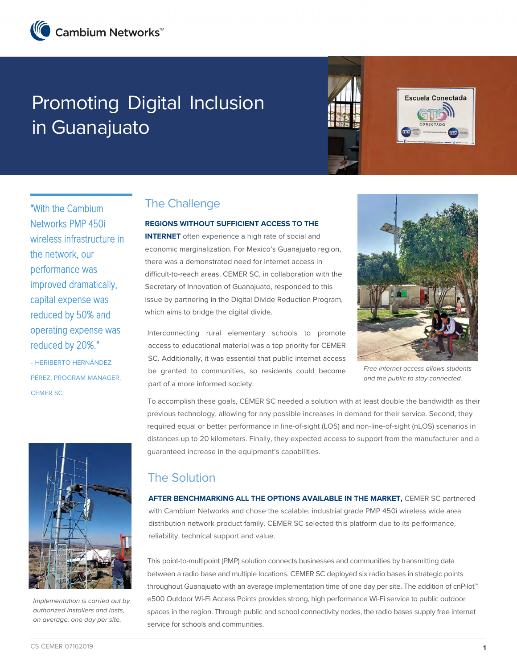# Promoting Digital Inclusion in Guanajuato



Escuela Conectada

"With the Cambium Networks PMP 450i wireless infrastructure in the network, our performance was improved dramatically, capital expense was reduced by 50% and operating expense was reduced by 20%."

- HERIBERTO HERNÁNDEZ PÉREZ, PROGRAM MANAGER, CEMER SC



Implementation is carried out by authorized installers and lasts, on average, one day per site.

# The Challenge

#### **REGIONS WITHOUT SUFFICIENT ACCESS TO THE**

**INTERNET** often experience a high rate of social and economic marginalization. For Mexico's Guanajuato region, there was a demonstrated need for internet access in difficult-to-reach areas. CEMER SC, in collaboration with the Secretary of Innovation of Guanajuato, responded to this issue by partnering in the Digital Divide Reduction Program, which aims to bridge the digital divide.

Interconnecting rural elementary schools to promote access to educational material was a top priority for CEMER SC. Additionally, it was essential that public internet access be granted to communities, so residents could become part of a more informed society.



Free internet access allows students and the public to stay connected.

To accomplish these goals, CEMER SC needed a solution with at least double the bandwidth as their previous technology, allowing for any possible increases in demand for their service. Second, they required equal or better performance in line-of-sight (LOS) and non-line-of-sight (nLOS) scenarios in distances up to 20 kilometers. Finally, they expected access to support from the manufacturer and a guaranteed increase in the equipment's capabilities.

## The Solution

**AFTER BENCHMARKING ALL THE OPTIONS AVAILABLE IN THE MARKET,** CEMER SC partnered with Cambium Networks and chose the scalable, industrial grade PMP 450i wireless wide area distribution network product family. CEMER SC selected this platform due to its performance, reliability, technical support and value.

This point-to-multipoint (PMP) solution connects businesses and communities by transmitting data between a radio base and multiple locations. CEMER SC deployed six radio bases in strategic points throughout Guanajuato with an average implementation time of one day per site. The addition of cnPilot™ e500 Outdoor Wi-Fi Access Points provides strong, high performance Wi-Fi service to public outdoor spaces in the region. Through public and school connectivity nodes, the radio bases supply free internet service for schools and communities.